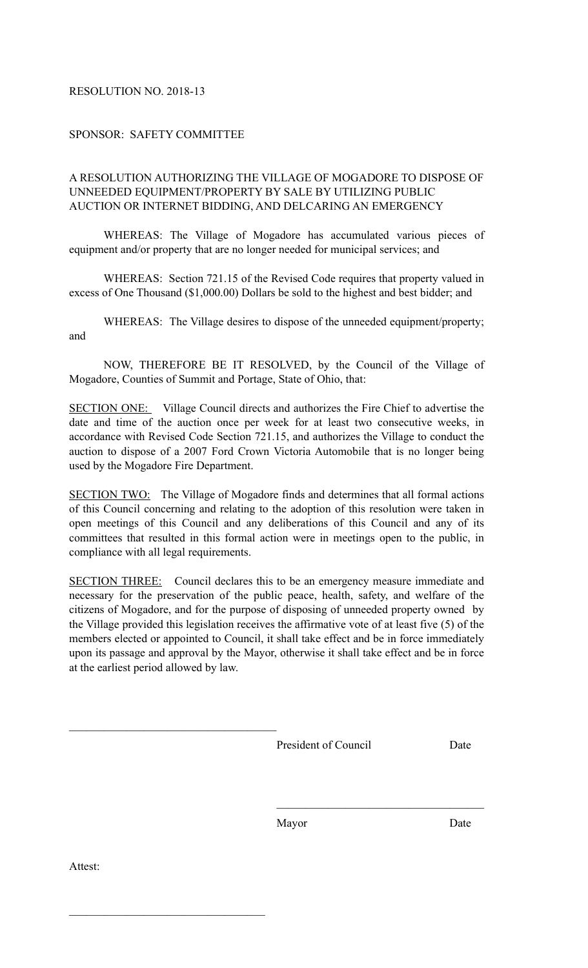## RESOLUTION NO. 2018-13

## SPONSOR: SAFETY COMMITTEE

## A RESOLUTION AUTHORIZING THE VILLAGE OF MOGADORE TO DISPOSE OF UNNEEDED EQUIPMENT/PROPERTY BY SALE BY UTILIZING PUBLIC AUCTION OR INTERNET BIDDING, AND DELCARING AN EMERGENCY

 WHEREAS: The Village of Mogadore has accumulated various pieces of equipment and/or property that are no longer needed for municipal services; and

 WHEREAS: Section 721.15 of the Revised Code requires that property valued in excess of One Thousand (\$1,000.00) Dollars be sold to the highest and best bidder; and

 WHEREAS: The Village desires to dispose of the unneeded equipment/property; and

NOW, THEREFORE BE IT RESOLVED, by the Council of the Village of Mogadore, Counties of Summit and Portage, State of Ohio, that:

SECTION ONE: Village Council directs and authorizes the Fire Chief to advertise the date and time of the auction once per week for at least two consecutive weeks, in accordance with Revised Code Section 721.15, and authorizes the Village to conduct the auction to dispose of a 2007 Ford Crown Victoria Automobile that is no longer being used by the Mogadore Fire Department.

SECTION TWO: The Village of Mogadore finds and determines that all formal actions of this Council concerning and relating to the adoption of this resolution were taken in open meetings of this Council and any deliberations of this Council and any of its committees that resulted in this formal action were in meetings open to the public, in compliance with all legal requirements.

SECTION THREE: Council declares this to be an emergency measure immediate and necessary for the preservation of the public peace, health, safety, and welfare of the citizens of Mogadore, and for the purpose of disposing of unneeded property owned by the Village provided this legislation receives the affirmative vote of at least five (5) of the members elected or appointed to Council, it shall take effect and be in force immediately upon its passage and approval by the Mayor, otherwise it shall take effect and be in force at the earliest period allowed by law.

President of Council Date

Mayor Date

 $\mathcal{L}_\text{max}$  and  $\mathcal{L}_\text{max}$  and  $\mathcal{L}_\text{max}$  and  $\mathcal{L}_\text{max}$  and  $\mathcal{L}_\text{max}$ 

Attest:

 $\mathcal{L}_\text{max}$ 

 $\mathcal{L}_\text{max}$